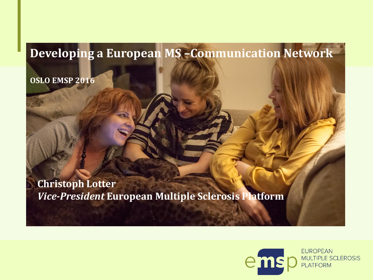#### **Developing a European MS –Communication Network**

**OSLO EMSP 2016**

**Christoph Lotter** *Vice-President* **European Multiple Sclerosis Platform** 

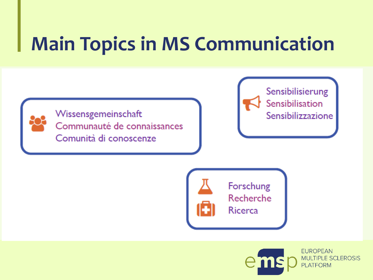# **Main Topics in MS Communication**



Wissensgemeinschaft Communauté de connaissances Comunità di conoscenze

Sensibilisierung Sensibilisation Sensibilizzazione



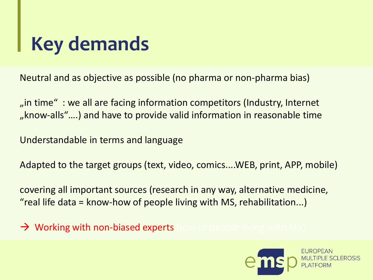# **Key demands**

Neutral and as objective as possible (no pharma or non-pharma bias)

"" in time" : we all are facing information competitors (Industry, Internet ", know-alls"....) and have to provide valid information in reasonable time

Understandable in terms and language

Adapted to the target groups (text, video, comics....WEB, print, APP, mobile)

covering all important sources (research in any way, alternative medicine, "real life data = know-how of people living with MS, rehabilitation...)

 $\rightarrow$  Working with non-biased experts how of people living with MS)

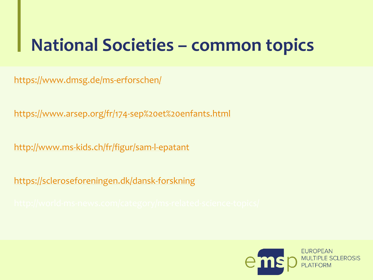## **National Societies – common topics**

<https://www.dmsg.de/ms-erforschen/>

[https://www.arsep.org/fr/174-sep%20et%20enfants.html](https://www.arsep.org/fr/174-sep et enfants.html)

<http://www.ms-kids.ch/fr/figur/sam-l-epatant>

<https://scleroseforeningen.dk/dansk-forskning>

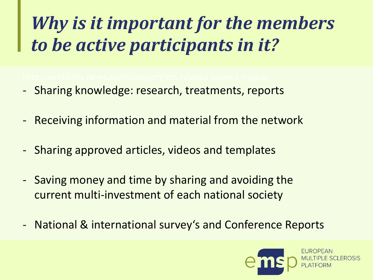# *Why is it important for the members to be active participants in it?*

- Sharing knowledge: research, treatments, reports
- Receiving information and material from the network
- Sharing approved articles, videos and templates
- Saving money and time by sharing and avoiding the current multi-investment of each national society
- National & international survey's and Conference Reports

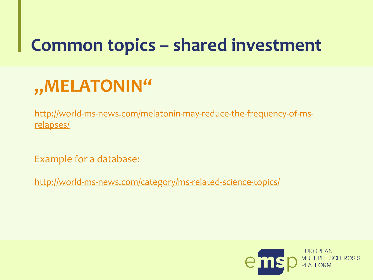### **Common topics – shared investment**

## **["MELATONIN"](http://world-ms-news.com/category/ms-related-science-topics/)**

[http://world-ms-news.com/melatonin-may-reduce-the-frequency-of-ms](http://world-ms-news.com/category/ms-related-science-topics/)relapses/

Example for [a database:](http://world-ms-news.com/category/ms-related-science-topics/)

<http://world-ms-news.com/category/ms-related-science-topics/>

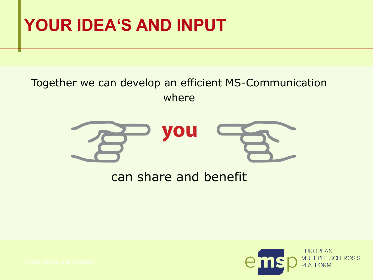#### **YOUR IDEA'S AND INPUT**

#### Together we can develop an efficient MS-Communication where



#### can share and benefit